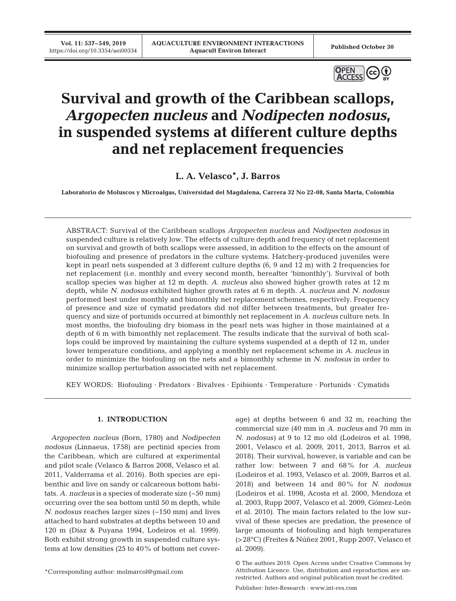**Vol. 11: 537–549, 2019**



# **Survival and growth of the Caribbean scallops,** *Argopecten nucleus* **and** *Nodipecten nodosus***, in suspended systems at different culture depths and net replacement frequencies**

**L. A. Velasco\*, J. Barros**

**Laboratorio de Moluscos y Microalgas, Universidad del Magdalena, Carrera 32 No 22-08, Santa Marta, Colombia**

ABSTRACT: Survival of the Caribbean scallops *Argopecten nucleus* and *Nodipecten nodosus* in suspended culture is relatively low. The effects of culture depth and frequency of net replacement on survival and growth of both scallops were assessed, in addition to the effects on the amount of biofouling and presence of predators in the culture systems. Hatchery-produced juveniles were kept in pearl nets suspended at 3 different culture depths (6, 9 and 12 m) with 2 frequencies for net replacement (i.e. monthly and every second month, hereafter 'bimonthly'). Survival of both scallop species was higher at 12 m depth. *A. nucleus* also showed higher growth rates at 12 m depth, while *N. nodosus* exhibited higher growth rates at 6 m depth. *A. nucleus* and *N. nodosus* performed best under monthly and bimonthly net replacement schemes, respectively. Frequency of presence and size of cymatid predators did not differ between treatments, but greater frequency and size of portunids occurred at bimonthly net replacement in *A. nucleus* culture nets. In most months, the biofouling dry biomass in the pearl nets was higher in those maintained at a depth of 6 m with bimonthly net replacement. The results indicate that the survival of both scallops could be improved by maintaining the culture systems suspended at a depth of 12 m, under lower temperature conditions, and applying a monthly net replacement scheme in *A. nucleus* in order to minimize the biofouling on the nets and a bimonthly scheme in *N. nodosus* in order to minimize scallop perturbation associated with net replacement.

KEY WORDS: Biofouling · Predators · Bivalves · Epibionts · Temperature · Portunids · Cymatids

# **1. INTRODUCTION**

*Argopecten nucleus* (Born, 1780) and *Nodipecten nodosus* (Linnaeus, 1758) are pectinid species from the Caribbean, which are cultured at experimental and pilot scale (Velasco & Barros 2008, Velasco et al. 2011, Valderrama et al. 2016). Both species are epibenthic and live on sandy or calcareous bottom habitats. *A. nucleus* is a species of moderate size (~50 mm) occurring over the sea bottom until 50 m depth, while *N. nodosus* reaches larger sizes (~150 mm) and lives attached to hard substrates at depths between 10 and 120 m (Díaz & Puyana 1994, Lodeiros et al. 1999). Both exhibit strong growth in suspended culture systems at low densities (25 to 40% of bottom net cover-

\*Corresponding author: molmarcol@gmail.com

age) at depths between 6 and 32 m, reaching the commercial size (40 mm in *A. nucleus* and 70 mm in *N. nodosus)* at 9 to 12 mo old (Lodeiros et al. 1998, 2001, Velasco et al. 2009, 2011, 2013, Barros et al. 2018). Their survival, however, is variable and can be rather low: between 7 and 68% for *A. nucleus* (Lodeiros et al. 1993, Velasco et al. 2009, Barros et al. 2018) and between 14 and 80% for *N. nodosus* (Lodeiros et al. 1998, Acosta et al. 2000, Mendoza et al. 2003, Rupp 2007, Velasco et al. 2009, Gómez-León et al. 2010). The main factors related to the low survival of these species are predation, the presence of large amounts of biofouling and high temperatures (>28°C) (Freites & Núñez 2001, Rupp 2007, Velasco et al. 2009).

<sup>©</sup> The authors 2019. Open Access under Creative Commons by Attribution Licence. Use, distribution and reproduction are unrestricted. Authors and original publication must be credited.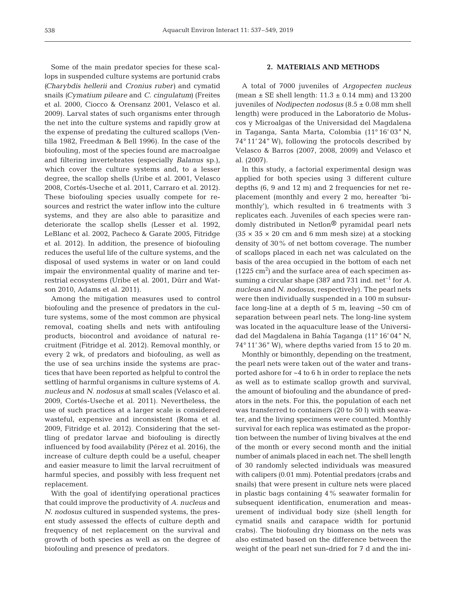Some of the main predator species for these scallops in suspended culture systems are portunid crabs *(Charybdis hellerii* and *Cronius ruber)* and cymatid snails *(Cymatium pileare* and *C. cingulatum)* (Freites et al. 2000, Ciocco & Orensanz 2001, Velasco et al. 2009). Larval states of such organisms enter through the net into the culture systems and rapidly grow at the expense of predating the cultured scallops (Ventilla 1982, Freedman & Bell 1996). In the case of the biofouling, most of the species found are macroalgae and filtering invertebrates (especially *Balanus* sp.), which cover the culture systems and, to a lesser degree, the scallop shells (Uribe et al. 2001, Velasco 2008, Cortés-Useche et al. 2011, Carraro et al. 2012). These biofouling species usually compete for resources and restrict the water inflow into the culture systems, and they are also able to parasitize and deteriorate the scallop shells (Lesser et al. 1992, LeBlanc et al. 2002, Pacheco & Garate 2005, Fitridge et al. 2012). In addition, the presence of biofouling reduces the useful life of the culture systems, and the disposal of used systems in water or on land could impair the environmental quality of marine and terrestrial ecosystems (Uribe et al. 2001, Dürr and Watson 2010, Adams et al. 2011).

Among the mitigation measures used to control biofouling and the presence of predators in the culture systems, some of the most common are physical re moval, coating shells and nets with antifouling products, biocontrol and avoidance of natural recruitment (Fitridge et al. 2012). Removal monthly, or every 2 wk, of predators and biofouling, as well as the use of sea urchins inside the systems are practices that have been reported as helpful to control the settling of harmful organisms in culture systems of *A. nucleus* and *N. nodosus* at small scales (Velasco et al. 2009, Cortés-Useche et al. 2011). Nevertheless, the use of such practices at a larger scale is considered wasteful, expensive and inconsistent (Roma et al. 2009, Fitridge et al. 2012). Considering that the settling of predator larvae and biofouling is directly influenced by food availability (Pérez et al. 2016), the increase of culture depth could be a useful, cheaper and easier measure to limit the larval recruitment of harmful species, and possibly with less frequent net replacement.

With the goal of identifying operational practices that could improve the productivity of *A. nucleus* and *N. nodosus* cultured in suspended systems, the present study assessed the effects of culture depth and frequency of net replacement on the survival and growth of both species as well as on the degree of biofouling and presence of predators.

# **2. MATERIALS AND METHODS**

A total of 7000 juveniles of *Argopecten nucleus* (mean  $\pm$  SE shell length: 11.3  $\pm$  0.14 mm) and 13 200 juveniles of *Nodipecten nodosus* (8.5 ± 0.08 mm shell length) were produced in the Laboratorio de Moluscos y Microalgas of the Universidad del Magdalena in Taganga, Santa Marta, Colombia (11° 16' 03" N, 74° 11' 24" W), following the protocols described by Velasco & Barros (2007, 2008, 2009) and Velasco et al. (2007).

In this study, a factorial experimental design was applied for both species using 3 different culture depths  $(6, 9 \text{ and } 12 \text{ m})$  and 2 frequencies for net replacement (monthly and every 2 mo, hereafter 'bimonthly'), which resulted in 6 treatments with 3 replicates each. Juveniles of each species were randomly distributed in Netlon® pyramidal pearl nets (35  $\times$  35  $\times$  20 cm and 6 mm mesh size) at a stocking density of 30% of net bottom coverage. The number of scallops placed in each net was calculated on the basis of the area occupied in the bottom of each net  $(1225 \text{ cm}^2)$  and the surface area of each specimen assuming a circular shape (387 and 731 ind. net−1 for *A. nucleus* and *N. nodosus*, respectively). The pearl nets were then individually suspended in a 100 m subsurface long-line at a depth of  $5 \text{ m}$ , leaving  $\sim 50 \text{ cm}$  of separation between pearl nets. The long-line system was located in the aquaculture lease of the Universidad del Magdalena in Bahía Taganga (11° 16' 04" N, 74° 11' 36" W), where depths varied from 15 to 20 m.

Monthly or bimonthly, depending on the treatment, the pearl nets were taken out of the water and transported ashore for ~4 to 6 h in order to replace the nets as well as to estimate scallop growth and survival, the amount of biofouling and the abundance of predators in the nets. For this, the population of each net was transferred to containers (20 to 50 l) with seawater, and the living specimens were counted. Monthly survival for each replica was estimated as the proportion between the number of living bivalves at the end of the month or every second month and the initial number of animals placed in each net. The shell length of 30 randomly selected individuals was measured with calipers (0.01 mm). Potential predators (crabs and snails) that were present in culture nets were placed in plastic bags containing 4% seawater formalin for subsequent identification, enumeration and measurement of individual body size (shell length for cymatid snails and carapace width for portunid crabs). The biofouling dry biomass on the nets was also estimated based on the difference between the weight of the pearl net sun-dried for 7 d and the ini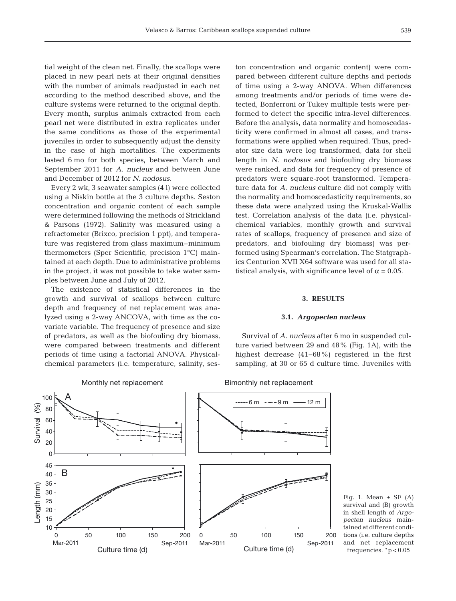tial weight of the clean net. Finally, the scallops were placed in new pearl nets at their original densities with the number of animals readjusted in each net according to the method described above, and the culture systems were returned to the original depth. Every month, surplus animals extracted from each pearl net were distributed in extra replicates under the same conditions as those of the experimental juveniles in order to subsequently adjust the density in the case of high mortalities. The experiments lasted 6 mo for both species, between March and September 2011 for *A. nucleus* and between June and December of 2012 for *N. nodosus*.

Every 2 wk, 3 seawater samples (4 l) were collected using a Niskin bottle at the 3 culture depths. Seston concentration and organic content of each sample were determined following the methods of Strickland & Parsons (1972). Salinity was measured using a refractometer (Brixco, precision 1 ppt), and temperature was registered from glass maximum–minimum thermometers (Sper Scientific, precision 1°C) maintained at each depth. Due to administrative problems in the project, it was not possible to take water samples between June and July of 2012.

The existence of statistical differences in the growth and survival of scallops between culture depth and frequency of net replacement was analyzed using a 2-way ANCOVA, with time as the covariate variable. The frequency of presence and size of predators, as well as the biofouling dry biomass, were compared between treatments and different periods of time using a factorial ANOVA. Physicalchemical parameters (i.e. temperature, salinity, ses-

Monthly net replacement

ton concentration and organic content) were compared between different culture depths and periods of time using a 2-way ANOVA. When differences among treatments and/or periods of time were detected, Bonferroni or Tukey multiple tests were performed to detect the specific intra-level differences. Before the analysis, data normality and homoscedasticity were confirmed in almost all cases, and transformations were applied when required. Thus, predator size data were log transformed, data for shell length in *N. nodosus* and biofouling dry biomass were ranked, and data for frequency of presence of predators were square-root transformed. Temperature data for *A. nucleus* culture did not comply with the normality and homoscedasticity requirements, so these data were analyzed using the Kruskal-Wallis test. Correlation analysis of the data (i.e. physicalchemical variables, monthly growth and survival rates of scallops, frequency of presence and size of predators, and biofouling dry biomass) was performed using Spearman's correlation. The Statgraphics Centurion XVII X64 software was used for all statistical analysis, with significance level of  $\alpha = 0.05$ .

# **3. RESULTS**

#### **3.1.** *Argopecten nucleus*

Survival of *A. nucleus* after 6 mo in suspended culture varied between 29 and 48% (Fig. 1A), with the highest decrease (41−68%) registered in the first sampling, at 30 or 65 d culture time. Juveniles with

Bimonthly net replacement



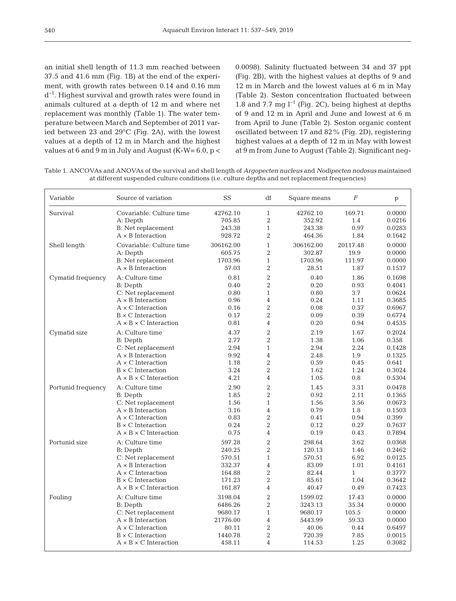an initial shell length of 11.3 mm reached between 37.5 and 41.6 mm (Fig. 1B) at the end of the experiment, with growth rates between 0.14 and 0.16 mm d−1. Highest survival and growth rates were found in animals cultured at a depth of 12 m and where net replacement was monthly (Table 1). The water temperature between March and September of 2011 varied between 23 and 29°C (Fig. 2A), with the lowest values at a depth of 12 m in March and the highest values at 6 and 9 m in July and August (K-W= 6.0, p <

0.0098). Salinity fluctuated between 34 and 37 ppt (Fig. 2B), with the highest values at depths of 9 and 12 m in March and the lowest values at 6 m in May (Table 2). Seston concentration fluctuated between 1.8 and 7.7 mg  $l^{-1}$  (Fig. 2C), being highest at depths of 9 and 12 m in April and June and lowest at 6 m from April to June (Table 2). Seston organic content oscillated between 17 and 82% (Fig. 2D), registering highest values at a depth of 12 m in May with lowest at 9 m from June to August (Table 2). Significant neg-

Table 1. ANCOVAs and ANOVAs of the survival and shell length of *Argopecten nucleus* and *Nodipecten nodosus* maintained at different suspended culture conditions (i.e. culture depths and net replacement frequencies)

| Variable           | Source of variation               | <b>SS</b> | df                       | Square means | $\overline{F}$ | $\mathbf{p}$ |
|--------------------|-----------------------------------|-----------|--------------------------|--------------|----------------|--------------|
| Survival           | Covariable: Culture time          | 42762.10  | $\mathbf{1}$             | 42762.10     | 169.71         | 0.0000       |
|                    | A: Depth                          | 705.85    | $\overline{2}$           | 352.92       | 1.4            | 0.0216       |
|                    | <b>B:</b> Net replacement         | 243.38    | $\mathbf{1}$             | 243.38       | 0.97           | 0.0283       |
|                    | $A \times B$ Interaction          | 928.72    | $\overline{2}$           | 464.36       | 1.84           | 0.1642       |
| Shell length       | Covariable: Culture time          | 306162.00 | $\mathbf{1}$             | 306162.00    | 20117.48       | 0.0000       |
|                    | A: Depth                          | 605.75    | $\overline{2}$           | 302.87       | 19.9           | 0.0000       |
|                    | <b>B:</b> Net replacement         | 1703.96   | $\mathbf{1}$             | 1703.96      | 111.97         | 0.0000       |
|                    | $A \times B$ Interaction          | 57.03     | $\overline{2}$           | 28.51        | 1.87           | 0.1537       |
| Cymatid frequency  | A: Culture time                   | 0.81      | $\overline{2}$           | 0.40         | 1.86           | 0.1698       |
|                    | <b>B</b> : Depth                  | 0.40      | $\overline{2}$           | 0.20         | 0.93           | 0.4041       |
|                    | C: Net replacement                | 0.80      | $\mathbf{1}$             | 0.80         | 3.7            | 0.0624       |
|                    | $A \times B$ Interaction          | 0.96      | $\overline{4}$           | 0.24         | 1.11           | 0.3685       |
|                    | $A \times C$ Interaction          | 0.16      | $\overline{2}$           | 0.08         | 0.37           | 0.6967       |
|                    | $B \times C$ Interaction          | 0.17      | $\overline{2}$           | 0.09         | 0.39           | 0.6774       |
|                    | $A \times B \times C$ Interaction | 0.81      | $\overline{4}$           | 0.20         | 0.94           | 0.4535       |
| Cymatid size       | A: Culture time                   | 4.37      | $\overline{2}$           | 2.19         | 1.67           | 0.2024       |
|                    | B: Depth                          | 2.77      | $\overline{2}$           | 1.38         | 1.06           | 0.358        |
|                    | C: Net replacement                | 2.94      | $\mathbf{1}$             | 2.94         | 2.24           | 0.1428       |
|                    | $A \times B$ Interaction          | 9.92      | 4                        | 2.48         | 1.9            | 0.1325       |
|                    | $A \times C$ Interaction          | 1.18      | $\overline{2}$           | 0.59         | 0.45           | 0.641        |
|                    | $B \times C$ Interaction          | 3.24      | $\overline{2}$           | 1.62         | 1.24           | 0.3024       |
|                    | $A \times B \times C$ Interaction | 4.21      | $\overline{4}$           | 1.05         | 0.8            | 0.5304       |
| Portunid frequency | A: Culture time                   | 2.90      | $\overline{2}$           | 1.45         | 3.31           | 0.0478       |
|                    | <b>B:</b> Depth                   | 1.85      | $\overline{2}$           | 0.92         | 2.11           | 0.1365       |
|                    | C: Net replacement                | 1.56      | $\mathbf{1}$             | 1.56         | 3.56           | 0.0673       |
|                    | $A \times B$ Interaction          | 3.16      | $\overline{4}$           | 0.79         | 1.8            | 0.1503       |
|                    | $A \times C$ Interaction          | 0.83      | $\overline{2}$           | 0.41         | 0.94           | 0.399        |
|                    | $B \times C$ Interaction          | 0.24      | $\overline{2}$           | 0.12         | 0.27           | 0.7637       |
|                    | $A \times B \times C$ Interaction | 0.75      | $\overline{\mathcal{A}}$ | 0.19         | 0.43           | 0.7894       |
| Portunid size      | A: Culture time                   | 597.28    | $\overline{2}$           | 298.64       | 3.62           | 0.0368       |
|                    | <b>B</b> : Depth                  | 240.25    | $\overline{2}$           | 120.13       | 1.46           | 0.2462       |
|                    | C: Net replacement                | 570.51    | $\mathbf{1}$             | 570.51       | 6.92           | 0.0125       |
|                    | $A \times B$ Interaction          | 332.37    | $\overline{4}$           | 83.09        | 1.01           | 0.4161       |
|                    | $A \times C$ Interaction          | 164.88    | $\overline{2}$           | 82.44        | $\mathbf{1}$   | 0.3777       |
|                    | $B \times C$ Interaction          | 171.23    | $\overline{2}$           | 85.61        | 1.04           | 0.3642       |
|                    | $A \times B \times C$ Interaction | 161.87    | $\overline{4}$           | 40.47        | 0.49           | 0.7423       |
| Fouling            | A: Culture time                   | 3198.04   | $\overline{2}$           | 1599.02      | 17.43          | 0.0000       |
|                    | <b>B:</b> Depth                   | 6486.26   | $\overline{2}$           | 3243.13      | 35.34          | 0.0000       |
|                    | C: Net replacement                | 9680.17   | $\mathbf{1}$             | 9680.17      | 105.5          | 0.0000       |
|                    | $A \times B$ Interaction          | 21776.00  | $\overline{4}$           | 5443.99      | 59.33          | 0.0000       |
|                    | $A \times C$ Interaction          | 80.11     | $\overline{2}$           | 40.06        | 0.44           | 0.6497       |
|                    | $B \times C$ Interaction          | 1440.78   | $\overline{2}$           | 720.39       | 7.85           | 0.0015       |
|                    | $A \times B \times C$ Interaction | 458.11    | 4                        | 114.53       | 1.25           | 0.3082       |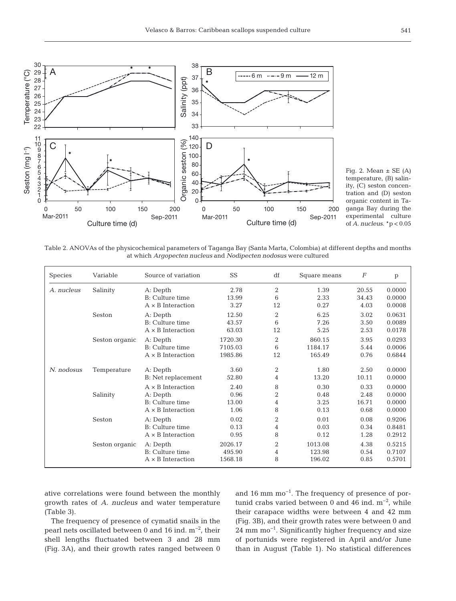

Fig. 2. Mean  $\pm$  SE (A) temperature, (B) salinity, (C) seston concentration and (D) seston organic content in Ta ganga Bay during the experimental culture of *A. nucleus*. \*p < 0.05

Table 2. ANOVAs of the physicochemical parameters of Taganga Bay (Santa Marta, Colombia) at different depths and months at which *Argopecten nucleus* and *Nodipecten nodosus* were cultured

| <b>Species</b> | Variable       | Source of variation                                                                 | SS                            | df                            | Square means                 | $\boldsymbol{F}$              | $\mathbf{p}$                         |
|----------------|----------------|-------------------------------------------------------------------------------------|-------------------------------|-------------------------------|------------------------------|-------------------------------|--------------------------------------|
| A. nucleus     | Salinity       | A: Depth<br>B: Culture time<br>$A \times B$ Interaction                             | 2.78<br>13.99<br>3.27         | $\overline{2}$<br>6<br>12     | 1.39<br>2.33<br>0.27         | 20.55<br>34.43<br>4.03        | 0.0000<br>0.0000<br>0.0008           |
|                | Seston         | A: Depth<br>B: Culture time<br>$A \times B$ Interaction                             | 12.50<br>43.57<br>63.03       | $\overline{2}$<br>6<br>12     | 6.25<br>7.26<br>5.25         | 3.02<br>3.50<br>2.53          | 0.0631<br>0.0089<br>0.0178           |
|                | Seston organic | A: Depth<br>B: Culture time<br>$A \times B$ Interaction                             | 1720.30<br>7105.03<br>1985.86 | 2<br>6<br>12                  | 860.15<br>1184.17<br>165.49  | 3.95<br>5.44<br>0.76          | 0.0293<br>0.0006<br>0.6844           |
| N. nodosus     | Temperature    | A: Depth<br>B: Net replacement                                                      | 3.60<br>52.80                 | 2<br>4                        | 1.80<br>13.20                | 2.50<br>10.11                 | 0.0000<br>0.0000                     |
|                | Salinity       | $A \times B$ Interaction<br>A: Depth<br>B: Culture time<br>$A \times B$ Interaction | 2.40<br>0.96<br>13.00<br>1.06 | 8<br>$\overline{2}$<br>4<br>8 | 0.30<br>0.48<br>3.25<br>0.13 | 0.33<br>2.48<br>16.71<br>0.68 | 0.0000<br>0.0000<br>0.0000<br>0.0000 |
|                | Seston         | A: Depth<br>B: Culture time<br>$A \times B$ Interaction                             | 0.02<br>0.13<br>0.95          | $\overline{2}$<br>4<br>8      | 0.01<br>0.03<br>0.12         | 0.08<br>0.34<br>1.28          | 0.9206<br>0.8481<br>0.2912           |
|                | Seston organic | A: Depth<br>B: Culture time<br>$A \times B$ Interaction                             | 2026.17<br>495.90<br>1568.18  | $\overline{2}$<br>4<br>8      | 1013.08<br>123.98<br>196.02  | 4.38<br>0.54<br>0.85          | 0.5215<br>0.7107<br>0.5701           |

ative correlations were found between the monthly growth rates of *A. nucleus* and water temperature (Table 3).

The frequency of presence of cymatid snails in the pearl nets oscillated between 0 and 16 ind. m−2, their shell lengths fluctuated between 3 and 28 mm (Fig. 3A), and their growth rates ranged between 0 and 16 mm mo−1. The frequency of presence of portunid crabs varied between 0 and 46 ind. m−2, while their carapace widths were between 4 and 42 mm (Fig. 3B), and their growth rates were between 0 and 24 mm mo<sup>-1</sup>. Significantly higher frequency and size of portunids were registered in April and/or June than in August (Table 1). No statistical differences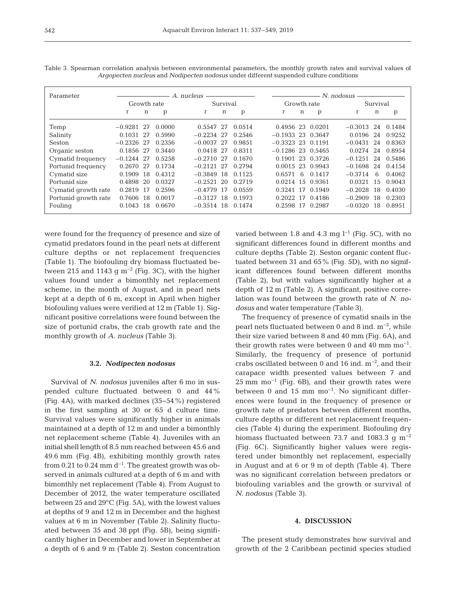| Parameter            | A. nucleus              |    |        |              |             |         | $- N.$ nodosus $-$  |     |                  |              |    |        |
|----------------------|-------------------------|----|--------|--------------|-------------|---------|---------------------|-----|------------------|--------------|----|--------|
|                      | Growth rate<br>Survival |    |        |              | Growth rate |         |                     |     | Survival         |              |    |        |
|                      | $\mathbf r$             | n  | p      | r            | n           | p       | r                   | n   | p                | r            | n  | p      |
| Temp                 | $-0.9281$ 27            |    | 0.0000 | 0.5547 27    |             | 0.0514  |                     |     | 0.4956 23 0.0201 | $-0.3013$ 24 |    | 0.1484 |
| Salinity             | 0.1031 27               |    | 0.5990 | $-0.2234$ 27 |             | 0.2546  | $-0.1933$ 23 0.3647 |     |                  | 0.0196       | 24 | 0.9252 |
| Seston               | $-0.2326$ 27            |    | 0.2356 | $-0.0037$ 27 |             | 0.9851  | $-0.3323$ 23 0.1191 |     |                  | $-0.0431$    | 24 | 0.8363 |
| Organic seston       | 0.1856 27               |    | 0.3440 | 0.0418 27    |             | 0.8311  | $-0.1286$ 23 0.5465 |     |                  | 0.0274       | 24 | 0.8954 |
| Cymatid frequency    | $-0.1244$ 27            |    | 0.5258 | $-0.2710$ 27 |             | 0.1670  |                     |     | 0.1901 23 0.3726 | $-0.1251$    | 24 | 0.5486 |
| Portunid frequency   | 0.2670 27               |    | 0.1734 | $-0.2121$ 27 |             | 0.2794  |                     |     | 0.0015 23 0.9943 | $-0.1698$    | 24 | 0.4154 |
| Cymatid size         | 0.1909                  | 18 | 0.4312 | $-0.3849$ 18 |             | 0.112.5 | 0.6571              | - 6 | 0.1417           | $-0.3714$    | 6  | 0.4062 |
| Portunid size        | 0.4898                  | 20 | 0.0327 | $-0.2521$    | 20          | 0.2719  |                     |     | 0.0214 15 0.9361 | 0.0321       | 15 | 0.9043 |
| Cymatid growth rate  | 0.2819                  | 17 | 0.2596 | $-0.4779$ 17 |             | 0.0559  |                     |     | 0.3241 17 0.1949 | $-0.2028$    | 18 | 0.4030 |
| Portunid growth rate | 0.7606                  | 18 | 0.0017 | $-0.3127$ 18 |             | 0.1973  |                     |     | 0.2022 17 0.4186 | $-0.2909$    | 18 | 0.2303 |
| Fouling              | 0.1043                  | 18 | 0.6670 | $-0.3514$ 18 |             | 0.1474  |                     |     | 0.2598 17 0.2987 | $-0.0320$    | 18 | 0.8951 |

Table 3. Spearman correlation analysis between environmental parameters, the monthly growth rates and survival values of *Argopecten nucleus* and *Nodipecten nodosus* under different suspended culture conditions

were found for the frequency of presence and size of cymatid predators found in the pearl nets at different culture depths or net replacement frequencies (Table 1). The biofouling dry biomass fluctuated be tween 215 and 1143 g m<sup>-2</sup> (Fig. 3C), with the higher values found under a bimonthly net replacement scheme, in the month of August, and in pearl nets kept at a depth of 6 m, except in April when higher biofouling values were verified at 12 m (Table 1). Significant positive correlations were found between the size of portunid crabs, the crab growth rate and the monthly growth of *A. nucleus* (Table 3).

#### **3.2.** *Nodipecten nodosus*

Survival of *N. nodosus* juveniles after 6 mo in suspended culture fluctuated between 0 and 44% (Fig. 4A), with marked declines (35−54%) registered in the first sampling at 30 or 65 d culture time. Survival values were significantly higher in animals maintained at a depth of 12 m and under a bimonthly net replacement scheme (Table 4). Juveniles with an initial shell length of 8.5 mm reached between 45.6 and  $49.6$  mm (Fig.  $4B$ ), exhibiting monthly growth rates from 0.21 to 0.24 mm  $d^{-1}$ . The greatest growth was observed in animals cultured at a depth of 6 m and with bimonthly net replacement (Table 4). From August to December of 2012, the water temperature oscillated between 25 and 29°C (Fig. 5A), with the lowest values at depths of 9 and 12 m in December and the highest values at 6 m in November (Table 2). Salinity fluctuated between 35 and 38 ppt (Fig. 5B), being significantly higher in December and lower in September at a depth of 6 and 9 m (Table 2). Seston concentration varied between 1.8 and 4.3 mg  $l^{-1}$  (Fig. 5C), with no significant differences found in different months and culture depths (Table 2). Seston organic content fluctuated between 31 and 65% (Fig. 5D), with no significant differences found between different months (Table 2), but with values significantly higher at a depth of 12 m (Table 2). A significant, positive correlation was found between the growth rate of *N. nodosus* and water temperature (Table 3).

The frequency of presence of cymatid snails in the pearl nets fluctuated between 0 and 8 ind. m−2, while their size varied between 8 and 40 mm (Fig. 6A), and their growth rates were between 0 and 40 mm  $mo^{-1}$ . Similarly, the frequency of presence of portunid crabs oscillated between 0 and 16 ind. m−2, and their carapace width presented values between 7 and  $25 \text{ mm } \text{mo}^{-1}$  (Fig. 6B), and their growth rates were between 0 and 15 mm  $mo^{-1}$ . No significant differences were found in the frequency of presence or growth rate of predators between different months, culture depths or different net replacement frequencies (Table 4) during the experiment. Biofouling dry biomass fluctuated between 73.7 and 1083.3 g  $m^{-2}$ (Fig. 6C). Significantly higher values were registered under bimonthly net replacement, especially in August and at 6 or 9 m of depth (Table 4). There was no significant correlation between predators or biofouling variables and the growth or survival of *N. nodosus* (Table 3).

# **4. DISCUSSION**

The present study demonstrates how survival and growth of the 2 Caribbean pectinid species studied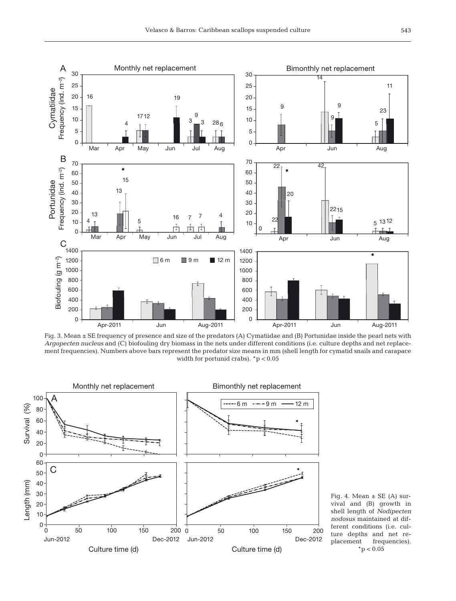

Fig. 3. Mean ± SE frequency of presence and size of the predators (A) Cymatiidae and (B) Portunidae inside the pearl nets with *Argopecten nucleus* and (C) biofouling dry biomass in the nets under different conditions (i.e. culture depths and net replacement frequencies). Numbers above bars represent the predator size means in mm (shell length for cymatid snails and carapace width for portunid crabs). \*p < 0.05



Fig. 4. Mean  $\pm$  SE (A) survival and (B) growth in shell length of *Nodipecten nodosus* maintained at different conditions (i.e. culture depths and net replacement frequencies).  $*$ p < 0.05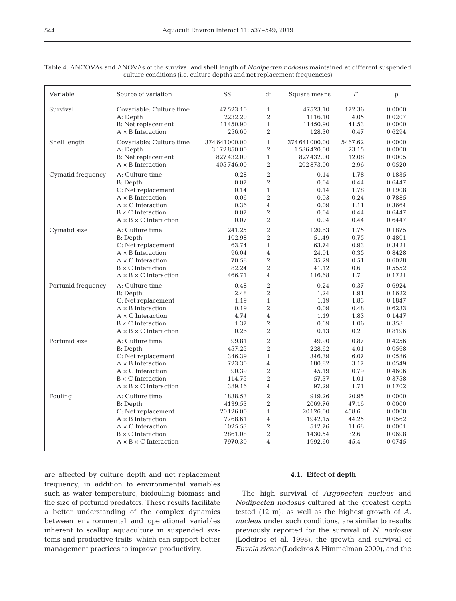| Variable           | Source of variation               | SS             | df             | Square means   | $\boldsymbol{F}$ | $\, {\rm p}$ |
|--------------------|-----------------------------------|----------------|----------------|----------------|------------------|--------------|
| Survival           | Covariable: Culture time          | 47 523.10      | $\mathbf{1}$   | 47523.10       | 172.36           | 0.0000       |
|                    | A: Depth                          | 2232.20        | $\overline{2}$ | 1116.10        | 4.05             | 0.0207       |
|                    | <b>B:</b> Net replacement         | 11450.90       | $\mathbf{1}$   | 11450.90       | 41.53            | 0.0000       |
|                    | $A \times B$ Interaction          | 256.60         | $\overline{2}$ | 128.30         | 0.47             | 0.6294       |
| Shell length       | Covariable: Culture time          | 374 641 000.00 | $\mathbf{1}$   | 374 641 000.00 | 5467.62          | 0.0000       |
|                    | A: Depth                          | 3 172 850.00   | $\overline{2}$ | 1586420.00     | 23.15            | 0.0000       |
|                    | B: Net replacement                | 827 432.00     | $\mathbf{1}$   | 827432.00      | 12.08            | 0.0005       |
|                    | $A \times B$ Interaction          | 405746.00      | $\overline{2}$ | 202873.00      | 2.96             | 0.0520       |
| Cymatid frequency  | A: Culture time                   | 0.28           | $\overline{2}$ | 0.14           | 1.78             | 0.1835       |
|                    | B: Depth                          | 0.07           | $\overline{2}$ | 0.04           | 0.44             | 0.6447       |
|                    | C: Net replacement                | 0.14           | $\mathbf{1}$   | 0.14           | 1.78             | 0.1908       |
|                    | $A \times B$ Interaction          | 0.06           | $\overline{2}$ | 0.03           | 0.24             | 0.7885       |
|                    | $A \times C$ Interaction          | 0.36           | $\overline{4}$ | 0.09           | 1.11             | 0.3664       |
|                    | $B \times C$ Interaction          | 0.07           | $\overline{2}$ | 0.04           | 0.44             | 0.6447       |
|                    | $A \times B \times C$ Interaction | 0.07           | $\overline{2}$ | 0.04           | 0.44             | 0.6447       |
| Cymatid size       | A: Culture time                   | 241.25         | $\,2$          | 120.63         | 1.75             | 0.1875       |
|                    | B: Depth                          | 102.98         | $\overline{2}$ | 51.49          | 0.75             | 0.4801       |
|                    | C: Net replacement                | 63.74          | $\mathbf{1}$   | 63.74          | 0.93             | 0.3421       |
|                    | $A \times B$ Interaction          | 96.04          | $\overline{4}$ | 24.01          | 0.35             | 0.8428       |
|                    | $A \times C$ Interaction          | 70.58          | $\overline{2}$ | 35.29          | 0.51             | 0.6028       |
|                    | $B \times C$ Interaction          | 82.24          | $\overline{2}$ | 41.12          | 0.6              | 0.5552       |
|                    | $A \times B \times C$ Interaction | 466.71         | $\overline{4}$ | 116.68         | 1.7              | 0.1721       |
| Portunid frequency | A: Culture time                   | 0.48           | $\overline{2}$ | 0.24           | 0.37             | 0.6924       |
|                    | B: Depth                          | 2.48           | $\overline{2}$ | 1.24           | 1.91             | 0.1622       |
|                    | C: Net replacement                | 1.19           | $\mathbf{1}$   | 1.19           | 1.83             | 0.1847       |
|                    | $A \times B$ Interaction          | 0.19           | $\overline{2}$ | 0.09           | 0.48             | 0.6233       |
|                    | $A \times C$ Interaction          | 4.74           | $\overline{4}$ | 1.19           | 1.83             | 0.1447       |
|                    | $B \times C$ Interaction          | 1.37           | $\overline{2}$ | 0.69           | 1.06             | 0.358        |
|                    | $A \times B \times C$ Interaction | 0.26           | $\overline{2}$ | 0.13           | 0.2              | 0.8196       |
| Portunid size      | A: Culture time                   | 99.81          | $\sqrt{2}$     | 49.90          | 0.87             | 0.4256       |
|                    | B: Depth                          | 457.25         | $\overline{2}$ | 228.62         | 4.01             | 0.0568       |
|                    | C: Net replacement                | 346.39         | $\mathbf{1}$   | 346.39         | 6.07             | 0.0586       |
|                    | $A \times B$ Interaction          | 723.30         | $\overline{4}$ | 180.82         | 3.17             | 0.0549       |
|                    | $A \times C$ Interaction          | 90.39          | $\overline{2}$ | 45.19          | 0.79             | 0.4606       |
|                    | $B \times C$ Interaction          | 114.75         | $\overline{2}$ | 57.37          | 1.01             | 0.3758       |
|                    | $A \times B \times C$ Interaction | 389.16         | $\overline{4}$ | 97.29          | 1.71             | 0.1702       |
| Fouling            | A: Culture time                   | 1838.53        | $\overline{2}$ | 919.26         | 20.95            | 0.0000       |
|                    | B: Depth                          | 4139.53        | $\overline{2}$ | 2069.76        | 47.16            | 0.0000       |
|                    | C: Net replacement                | 20126.00       | $\mathbf{1}$   | 20126.00       | 458.6            | 0.0000       |
|                    | $A \times B$ Interaction          | 7768.61        | $\overline{4}$ | 1942.15        | 44.25            | 0.0562       |
|                    | $A \times C$ Interaction          | 1025.53        | $\overline{2}$ | 512.76         | 11.68            | 0.0001       |
|                    | $B \times C$ Interaction          | 2861.08        | $\overline{2}$ | 1430.54        | 32.6             | 0.0698       |
|                    | $A \times B \times C$ Interaction | 7970.39        | $\overline{4}$ | 1992.60        | 45.4             | 0.0745       |

Table 4. ANCOVAs and ANOVAs of the survival and shell length of *Nodipecten nodosus* maintained at different suspended culture conditions (i.e. culture depths and net replacement frequencies)

are affected by culture depth and net replacement frequency, in addition to environmental variables such as water temperature, biofouling biomass and the size of portunid predators. These results facilitate a better understanding of the complex dynamics between environmental and operational variables inherent to scallop aquaculture in suspended systems and productive traits, which can support better management practices to improve productivity.

# **4.1. Effect of depth**

The high survival of *Argopecten nucleus* and *Nodipecten nodosus* cultured at the greatest depth tested (12 m), as well as the highest growth of *A. nucleus* under such conditions, are similar to results previously reported for the survival of *N. nodosus* (Lodeiros et al. 1998), the growth and survival of *Euvola ziczac* (Lodeiros & Himmelman 2000), and the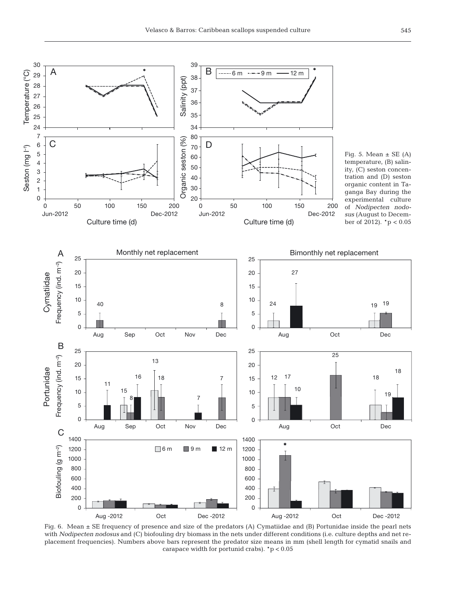

Fig. 6. Mean ± SE frequency of presence and size of the predators (A) Cymatiidae and (B) Portunidae inside the pearl nets with *Nodipecten nodosus* and (C) biofouling dry biomass in the nets under different conditions (i.e. culture depths and net replacement frequencies). Numbers above bars represent the predator size means in mm (shell length for cymatid snails and carapace width for portunid crabs). \*p < 0.05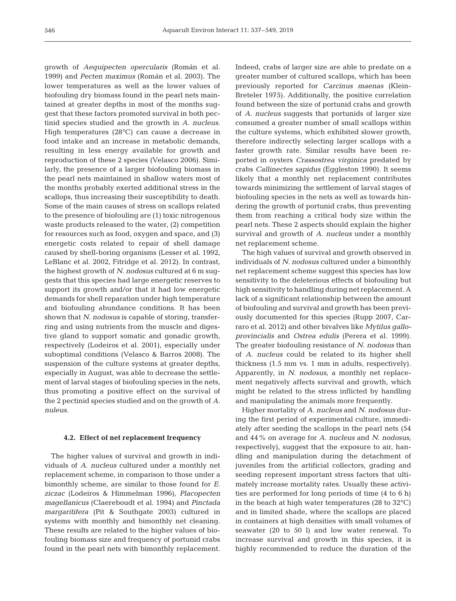growth of *Aequipecten opercularis* (Román et al. 1999) and *Pecten maximus* (Román et al. 2003). The lower temperatures as well as the lower values of biofouling dry biomass found in the pearl nets maintained at greater depths in most of the months suggest that these factors promoted survival in both pectinid species studied and the growth in *A. nucleus*. High temperatures (28°C) can cause a decrease in food intake and an increase in metabolic demands, resulting in less energy available for growth and reproduction of these 2 species (Velasco 2006). Similarly, the presence of a larger biofouling biomass in the pearl nets maintained in shallow waters most of the months probably exerted additional stress in the scallops, thus increasing their susceptibility to death. Some of the main causes of stress on scallops related to the presence of biofouling are (1) toxic nitrogenous waste products released to the water, (2) competition for resources such as food, oxygen and space, and (3) energetic costs related to repair of shell damage caused by shell-boring organisms (Lesser et al. 1992, LeBlanc et al. 2002, Fitridge et al. 2012). In contrast, the highest growth of *N. nodosus* cultured at 6 m suggests that this species had large energetic reserves to support its growth and/or that it had low energetic demands for shell reparation under high temperature and biofouling abundance conditions. It has been shown that *N. nodosus* is capable of storing, transferring and using nutrients from the muscle and digestive gland to support somatic and gonadic growth, respectively (Lodeiros et al. 2001), especially under suboptimal conditions (Velasco & Barros 2008). The suspension of the culture systems at greater depths, especially in August, was able to decrease the settlement of larval stages of biofouling species in the nets, thus promoting a positive effect on the survival of the 2 pectinid species studied and on the growth of *A. nuleus*.

#### **4.2. Effect of net replacement frequency**

The higher values of survival and growth in individuals of *A. nucleus* cultured under a monthly net replacement scheme, in comparison to those under a bimonthly scheme, are similar to those found for *E. ziczac* (Lodeiros & Himmelman 1996), *Placopecten magellanicus* (Claereboudt et al. 1994) and *Pinctada margaritifera* (Pit & Southgate 2003) cultured in systems with monthly and bimonthly net cleaning. These results are related to the higher values of biofouling biomass size and frequency of portunid crabs found in the pearl nets with bimonthly replacement.

Indeed, crabs of larger size are able to predate on a greater number of cultured scallops, which has been previously reported for *Carcinus maenas* (Klein-Breteler 1975). Additionally, the positive correlation found between the size of portunid crabs and growth of *A. nucleus* suggests that portunids of larger size consumed a greater number of small scallops within the culture systems, which exhibited slower growth, therefore indirectly selecting larger scallops with a faster growth rate. Similar results have been reported in oysters *Crassostrea virginica* predated by crabs *Callinectes sapidus* (Eggleston 1990). It seems likely that a monthly net replacement contributes towards minimizing the settlement of larval stages of biofouling species in the nets as well as towards hindering the growth of portunid crabs, thus preventing them from reaching a critical body size within the pearl nets. These 2 aspects should explain the higher survival and growth of *A. nucleus* under a monthly net replacement scheme.

The high values of survival and growth observed in individuals of *N. nodosus* cultured under a bimonthly net replacement scheme suggest this species has low sensitivity to the deleterious effects of biofouling but high sensitivity to handling during net replacement. A lack of a significant relationship between the amount of biofouling and survival and growth has been previously documented for this species (Rupp 2007, Carraro et al. 2012) and other bivalves like *Mytilus galloprovincialis* and *Ostrea edulis* (Perera et al. 1999). The greater biofouling resistance of *N. nodosus* than of *A. nucleus* could be related to its higher shell thickness (1.5 mm vs. 1 mm in adults, respectively). Apparently, in *N. nodosus*, a monthly net replacement negatively affects survival and growth, which might be related to the stress inflicted by handling and manipulating the animals more frequently.

Higher mortality of *A. nucleus* and *N. nodosus* during the first period of experimental culture, immediately after seeding the scallops in the pearl nets (54 and 44% on average for *A. nucleus* and *N. nodosus,* respectively), suggest that the exposure to air, handling and manipulation during the detachment of juveniles from the artificial collectors, grading and seeding represent important stress factors that ultimately increase mortality rates. Usually these activities are performed for long periods of time (4 to 6 h) in the beach at high water temperatures (28 to 32°C) and in limited shade, where the scallops are placed in containers at high densities with small volumes of seawater (20 to 50 l) and low water renewal. To increase survival and growth in this species, it is highly recommended to reduce the duration of the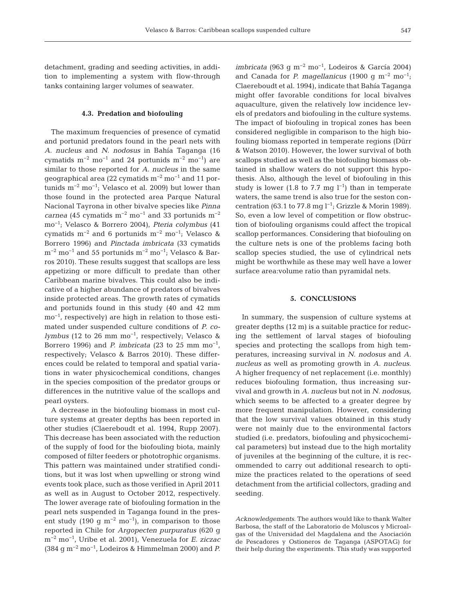detachment, grading and seeding activities, in addition to implementing a system with flow-through tanks containing larger volumes of seawater.

#### **4.3. Predation and biofouling**

The maximum frequencies of presence of cymatid and portunid predators found in the pearl nets with *A. nucleus* and *N. nodosus* in Bahía Taganga (16 cymatids m<sup>-2</sup> mo<sup>-1</sup> and 24 portunids m<sup>-2</sup> mo<sup>-1</sup>) are similar to those reported for *A. nucleus* in the same geographical area (22 cymatids m−2 mo−1 and 11 por tunids  $m^{-2}$  mo<sup>-1</sup>; Velasco et al. 2009) but lower than those found in the protected area Parque Natural Nacional Tayrona in other bivalve species like *Pinna carnea* (45 cymatids m<sup>-2</sup> mo<sup>-1</sup> and 33 portunids m<sup>-2</sup> mo−1; Velasco & Borrero 2004), *Pteria colymbus* (41 cymatids m−2 and 6 portunids m−2 mo−1; Velasco & Borrero 1996) and *Pinctada imbricata* (33 cymatids m−2 mo−1 and 55 portunids m−2 mo−1; Velasco & Barros 2010). These results suggest that scallops are less appetizing or more difficult to predate than other Caribbean marine bivalves. This could also be indicative of a higher abundance of predators of bivalves inside protected areas. The growth rates of cymatids and portunids found in this study (40 and 42 mm mo−1, respectively) are high in relation to those estimated under suspended culture conditions of *P. colymbus* (12 to 26 mm mo<sup>-1</sup>, respectively; Velasco & Borrero 1996) and *P. imbricata* (23 to 25 mm mo−1, respectively; Velasco & Barros 2010). These differences could be related to temporal and spatial variations in water physicochemical conditions, changes in the species composition of the predator groups or differences in the nutritive value of the scallops and pearl oysters.

A decrease in the biofouling biomass in most culture systems at greater depths has been reported in other studies (Claereboudt et al. 1994, Rupp 2007). This decrease has been associated with the reduction of the supply of food for the biofouling biota, mainly composed of filter feeders or phototrophic organisms. This pattern was maintained under stratified conditions, but it was lost when upwelling or strong wind events took place, such as those verified in April 2011 as well as in August to October 2012, respectively. The lower average rate of biofouling formation in the pearl nets suspended in Taganga found in the present study (190 g m<sup>-2</sup> mo<sup>-1</sup>), in comparison to those reported in Chile for *Argopecten purpuratus* (620 g m−2 mo−1, Uribe et al. 2001), Venezuela for *E. ziczac* (384 g m−2 mo−1, Lodeiros & Himmelman 2000) and *P.*

*imbricata* (963 g m<sup>-2</sup> mo<sup>-1</sup>, Lodeiros & García 2004) and Canada for *P. magellanicus* (1900 g m−2 mo−1; Claereboudt et al. 1994), indicate that Bahía Taganga might offer favorable conditions for local bivalves aquaculture, given the relatively low incidence levels of predators and biofouling in the culture systems. The impact of biofouling in tropical zones has been considered negligible in comparison to the high biofouling biomass reported in temperate regions (Dürr & Watson 2010). However, the lower survival of both scallops studied as well as the biofouling biomass ob tained in shallow waters do not support this hypothesis. Also, although the level of biofouling in this study is lower (1.8 to 7.7 mg  $l^{-1}$ ) than in temperate waters, the same trend is also true for the seston concentration (63.1 to 77.8 mg l<sup>-1</sup>; Grizzle & Morin 1989). So, even a low level of competition or flow obstruction of biofouling organisms could affect the tropical scallop performances. Considering that biofouling on the culture nets is one of the problems facing both scallop species studied, the use of cylindrical nets might be worthwhile as these may well have a lower surface area:volume ratio than pyramidal nets.

# **5. CONCLUSIONS**

In summary, the suspension of culture systems at greater depths (12 m) is a suitable practice for reducing the settlement of larval stages of biofouling species and protecting the scallops from high temperatures, increasing survival in *N. nodosus* and *A. nucle us* as well as promoting growth in *A. nucleus*. A higher frequency of net replacement (i.e. monthly) reduces biofouling formation, thus increasing survival and growth in *A. nucleus* but not in *N. nodosus,* which seems to be affected to a greater degree by more frequent manipulation. However, considering that the low survival values obtained in this study were not mainly due to the environmental factors studied (i.e. predators, biofouling and physicochemical parameters) but instead due to the high mortality of juveniles at the beginning of the culture, it is recommended to carry out additional research to optimize the practices related to the operations of seed detachment from the artificial collectors, grading and seeding.

*Acknowledgements*. The authors would like to thank Walter Barbosa, the staff of the Laboratorio de Moluscos y Microalgas of the Universidad del Magdalena and the Asociación de Pescadores y Ostioneros de Taganga (ASPOTAG) for their help during the experiments. This study was supported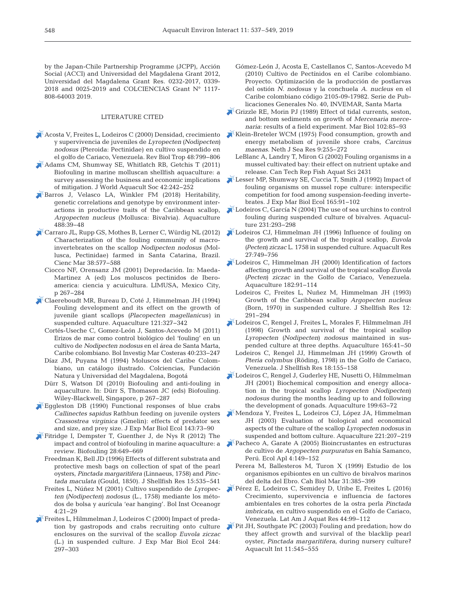by the Japan-Chile Partnership Programme (JCPP), Acción Social (ACCI) and Universidad del Magdalena Grant 2012, Universidad del Magdalena Grant Res. 0232-2017, 0339- 2018 and 0025-2019 and COLCIENCIAS Grant N° 1117- 808-64003 2019.

#### LITERATURE CITED

- [Acosta V, Freites L, Lodeiros C \(2000\) Densidad, crecimiento](https://www.ncbi.nlm.nih.gov/entrez/query.fcgi?cmd=Retrieve&db=PubMed&list_uids=11487928&dopt=Abstract) y supervivencia de juveniles de *Lyropecten (Nodipecten) nodosus* (Pteroida: Pectinidae) en cultivo suspendido en el golfo de Cariaco, Venezuela. Rev Biol Trop 48: 799−806
- [Adams CM, Shumway SE, Whitlatch RB, Getchis T \(2011\)](https://doi.org/10.1111/j.1749-7345.2011.00460.x) Biofouling in marine molluscan shellfish aquaculture: a survey assessing the business and economic implications of mitigation. J World Aquacult Soc 42: 242−252
- [Barros J, Velasco LA, Winkler FM \(2018\) Heritability,](https://doi.org/10.1016/j.aquaculture.2018.01.011) genetic correlations and genotype by environment interactions in productive traits of the Caribbean scallop, *Argopecten nucleus* (Mollusca: Bivalvia). Aquaculture 488: 39−48
- [Carraro JL, Rupp GS, Mothes B, Lerner C, Würdig NL \(2012\)](https://doi.org/10.7773/cm.v38i3.1982) Characterization of the fouling community of macroinvertebrates on the scallop *Nodipecten nodosus* (Mollusca, Pectinidae) farmed in Santa Catarina, Brazil. Cienc Mar 38:577-588
	- Ciocco NF, Orensanz JM (2001) Depredación. In: Maeda-Martinez A (ed) Los moluscos pectinidos de Iberoamerica: ciencia y acuicultura. LIMUSA, Mexico City, p 267−284
- [Claereboudt MR, Bureau D, Coté J, Himmelman JH \(1994\)](https://doi.org/10.1016/0044-8486(94)90268-2) Fouling development and its effect on the growth of juvenile giant scallops *(Placopecten magellanicus)* in suspended culture. Aquaculture 121: 327−342
	- Cortés-Useche C, Gomez-León J, Santos-Acevedo M (2011) Erizos de mar como control biológico del 'fouling' en un cultivo de *Nodipecten nodosus* en el área de Santa Marta, Caribe colombiano. Bol Investig Mar Costeras 40: 233−247
	- Díaz JM, Puyana M (1994) Moluscos del Caribe Colombiano, un catálogo ilustrado. Colciencias, Fundación Natura y Universidad del Magdalena, Bogotá
	- Dürr S, Watson DI (2010) Biofouling and anti-fouling in aquaculture. In: Dürr S, Thomason JC (eds) Biofouling. Wiley-Blackwell, Singapore, p 267−287
- [Eggleston DB \(1990\) Functional responses of blue crabs](https://doi.org/10.1016/0022-0981(90)90112-P) *Callinectes sapidus* Rathbun feeding on juvenile oysters *Crassostrea virginica* (Gmelin): effects of predator sex and size, and prey size. J Exp Mar Biol Ecol 143:73-90
- [Fitridge I, Dempster T, Guenther J, de Nys R \(2012\) The](https://doi.org/10.1080/08927014.2012.700478) impact and control of biofouling in marine aquaculture: a review. Biofouling 28:649-669
	- Freedman K, Bell JD (1996) Effects of different substrata and protective mesh bags on collection of spat of the pearl oysters, *Pinctada margaritifera* (Linnaeus, 1758) and *Pinctada maculata* (Gould, 1850). J Shellfish Res 15: 535−541
	- Freites L, Núñez M (2001) Cultivo suspendido de *Lyropecten (Nodipecten) nodosus* (L., 1758) mediante los métodos de bolsa y aurícula 'ear hanging'. Bol Inst Oceanogr 4: 21−29
- [Freites L, Hilmmelman J, Lodeiros C \(2000\) Impact of preda](https://doi.org/10.1016/S0022-0981(99)00149-5)tion by gastropods and crabs recruiting onto culture enclosures on the survival of the scallop *Euvola ziczac* (L.) in suspended culture. J Exp Mar Biol Ecol 244: 297−303
- Gómez-León J, Acosta E, Castellanos C, Santos-Acevedo M (2010) Cultivo de Pectínidos en el Caribe colombiano. Proyecto. Optimización de la producción de postlarvas del ostión *N. nodosus* y la conchuela *A. nucleus* en el Caribe colombiano código 2105-09-17982. Serie de Publicaciones Generales No. 40, INVEMAR, Santa Marta
- [Grizzle RE, Morin PJ \(1989\) Effect of tidal currents, seston,](https://doi.org/10.1007/BF00391326) and bottom sediments on growth of *Mercenaria mercenaria*: results of a field experiment. Mar Biol 102:85-93
- [Klein-Breteler WCM \(1975\) Food consumption, growth and](https://doi.org/10.1016/0077-7579(75)90002-2) energy metabolism of juvenile shore crabs, *Carcinus maenas.* Neth J Sea Res 9:255-272
	- LeBlanc A, Landry T, Miron G (2002) Fouling organisms in a mussel cultivated bay: their effect on nutrient uptake and release. Can Tech Rep Fish Aquat Sci 2431
- [Lesser MP, Shumway SE, Cuccia T, Smith J \(1992\) Impact of](https://doi.org/10.1016/0022-0981(92)90291-H) fouling organisms on mussel rope culture: interspecific competition for food among suspension-feeding invertebrates. J Exp Mar Biol Ecol 165: 91−102
- [Lodeiros C, García N \(2004\) The use of sea urchins to control](https://doi.org/10.1016/j.aquaculture.2003.10.022) fouling during suspended culture of bivalves. Aquaculture 231:293-298
- [Lodeiros CJ, Himmelman JH \(1996\) Influence of fouling on](https://doi.org/10.1046/j.1365-2109.1996.t01-1-00790.x) the growth and survival of the tropical scallop, *Euvola (Pecten) ziczac* L. 1758 in suspended culture. Aquacult Res 27: 749−756
- [Lodeiros C, Himmelman JH \(2000\) Identification of factors](https://doi.org/10.1016/S0044-8486(99)00245-8) affecting growth and survival of the tropical scallop *Euvola (Pecten) ziczac* in the Golfo de Cariaco, Venezuela. Aquaculture 182:91-114
	- Lodeiros C, Freites L, Nuñez M, Himmelman JH (1993) Growth of the Caribbean scallop *Argopecten nucleus* (Born, 1970) in suspended culture. J Shellfish Res 12: 291−294
- [Lodeiros C, Rengel J, Freites L, Morales F, Hilmmelman JH](https://doi.org/10.1016/S0044-8486(98)00212-9) (1998) Growth and survival of the tropical scallop *Lyropecten (Nodipecten) nodosus* maintained in suspended culture at three depths. Aquaculture 165:41-50
	- Lodeiros C, Rengel JJ, Himmelman JH (1999) Growth of *Pteria colymbus* (Röding, 1798) in the Golfo de Cariaco, Venezuela. J Shellfish Res 18: 155−158
- [Lodeiros C, Rengel J, Guderley HE, Nusetti O, Hilmmelman](https://doi.org/10.1016/S0044-8486(01)00505-1) JH (2001) Biochemical composition and energy allocation in the tropical scallop *Lyropecten* (*Nodipecten*) *nodosus* during the months leading up to and following the development of gonads. Aquaculture 199:63-72
- [Mendoza Y, Freites L, Lodeiros CJ, López JA, Himmelman](https://doi.org/10.1016/S0044-8486(02)00646-4) JH (2003) Evaluation of biological and economical aspects of the culture of the scallop *Lyropecten nodosus* in suspended and bottom culture. Aquaculture 221:207-219
- [Pacheco A, Garate A \(2005\) Bioincrustantes en estructuras](https://doi.org/10.21704/rea.v4i1-2.310) de cultivo de *Argopecten purpuratus* en Bahía Samanco, Perú. Ecol Apl 4: 149−152
	- Perera M, Ballesteros M, Turon X (1999) Estudio de los organismos epibiontes en un cultivo de bivalvos marinos del delta del Ebro. Cah Biol Mar 31: 385−399
- [Pérez E, Lodeiros C, Semidey D, Uribe E, Freites L \(2016\)](https://doi.org/10.3856/vol44-issue1-fulltext-10) Crecimiento, supervivencia e influencia de factores ambientales en tres cohortes de la ostra perla *Pinctada imbricata*, en cultivo suspendido en el Golfo de Cariaco, Venezuela. Lat Am J Aquat Res 44:99-112
- [Pit JH, Southgate PC \(2003\) Fouling and predation; how do](https://doi.org/10.1023/B%3AAQUI.0000013310.17400.97) they affect growth and survival of the blacklip pearl oyster, *Pinctada margaritifera*, during nursery culture? Aquacult Int 11:545-555